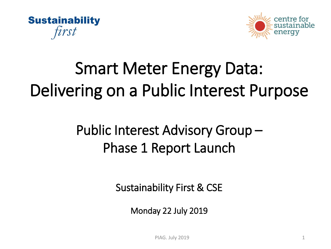



## Smart Meter Energy Data: Delivering on a Public Interest Purpose

### Public Interest Advisory Group – Phase 1 Report Launch

Sustainability First & CSE

Monday 22 July 2019

PIAG. July 2019 1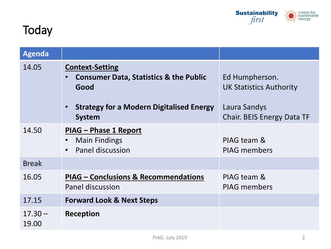

#### **Today**

| <b>Agenda</b>      |                                                                                                                                                         |                                                                                                       |
|--------------------|---------------------------------------------------------------------------------------------------------------------------------------------------------|-------------------------------------------------------------------------------------------------------|
| 14.05              | <b>Context-Setting</b><br><b>Consumer Data, Statistics &amp; the Public</b><br>Good<br><b>Strategy for a Modern Digitalised Energy</b><br><b>System</b> | Ed Humpherson.<br><b>UK Statistics Authority</b><br>Laura Sandys<br><b>Chair. BEIS Energy Data TF</b> |
| 14.50              | PIAG - Phase 1 Report<br><b>Main Findings</b><br>Panel discussion<br>$\bullet$                                                                          | PIAG team &<br><b>PIAG members</b>                                                                    |
| <b>Break</b>       |                                                                                                                                                         |                                                                                                       |
| 16.05              | <b>PIAG – Conclusions &amp; Recommendations</b><br>Panel discussion                                                                                     | PIAG team &<br><b>PIAG members</b>                                                                    |
| 17.15              | <b>Forward Look &amp; Next Steps</b>                                                                                                                    |                                                                                                       |
| $17.30 -$<br>19.00 | Reception                                                                                                                                               |                                                                                                       |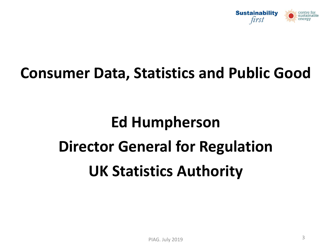

### **Consumer Data, Statistics and Public Good**

# **Ed Humpherson Director General for Regulation UK Statistics Authority**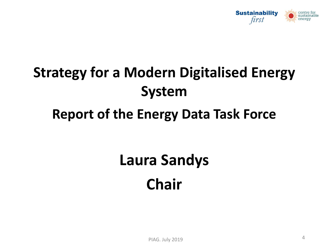

## **Strategy for a Modern Digitalised Energy System**

#### **Report of the Energy Data Task Force**

## **Laura Sandys Chair**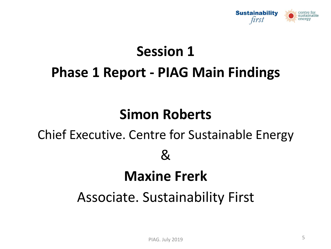

### **Session 1 Phase 1 Report - PIAG Main Findings**

#### **Simon Roberts**

### Chief Executive. Centre for Sustainable Energy

#### $\mathcal{R}_{\mathcal{L}}$

#### **Maxine Frerk**

#### Associate. Sustainability First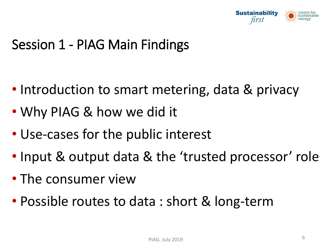

#### Session 1 - PIAG Main Findings

- Introduction to smart metering, data & privacy
- Why PIAG & how we did it
- Use-cases for the public interest
- Input & output data & the 'trusted processor' role
- The consumer view
- Possible routes to data : short & long-term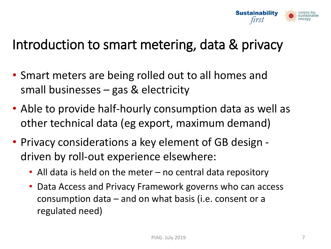

#### Introduction to smart metering, data & privacy

- Smart meters are being rolled out to all homes and small businesses – gas & electricity
- Able to provide half-hourly consumption data as well as other technical data (eg export, maximum demand)
- Privacy considerations a key element of GB design driven by roll-out experience elsewhere:
	- All data is held on the meter no central data repository
	- Data Access and Privacy Framework governs who can access consumption data – and on what basis (i.e. consent or a regulated need)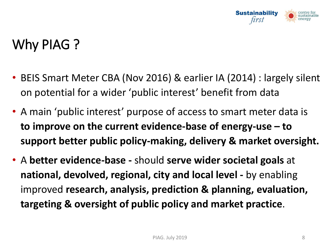

### Why PIAG ?

- BEIS Smart Meter CBA (Nov 2016) & earlier IA (2014) : largely silent on potential for a wider 'public interest' benefit from data
- A main 'public interest' purpose of access to smart meter data is **to improve on the current evidence-base of energy-use – to support better public policy-making, delivery & market oversight.**
- A **better evidence-base -** should **serve wider societal goals** at **national, devolved, regional, city and local level -** by enabling improved **research, analysis, prediction & planning, evaluation, targeting & oversight of public policy and market practice**.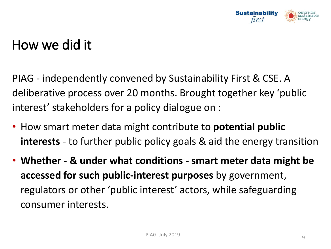

#### How we did it

PIAG - independently convened by Sustainability First & CSE. A deliberative process over 20 months. Brought together key 'public interest' stakeholders for a policy dialogue on :

- How smart meter data might contribute to **potential public interests** - to further public policy goals & aid the energy transition
- **Whether - & under what conditions - smart meter data might be accessed for such public-interest purposes** by government, regulators or other 'public interest' actors, while safeguarding consumer interests.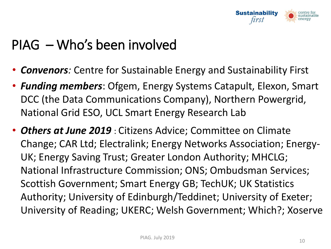

#### PIAG – Who's been involved

- *Convenors:* Centre for Sustainable Energy and Sustainability First
- *Funding members*: Ofgem, Energy Systems Catapult, Elexon, Smart DCC (the Data Communications Company), Northern Powergrid, National Grid ESO, UCL Smart Energy Research Lab
- *Others at June 2019* : Citizens Advice; Committee on Climate Change; CAR Ltd; Electralink; Energy Networks Association; Energy-UK; Energy Saving Trust; Greater London Authority; MHCLG; National Infrastructure Commission; ONS; Ombudsman Services; Scottish Government; Smart Energy GB; TechUK; UK Statistics Authority; University of Edinburgh/Teddinet; University of Exeter; University of Reading; UKERC; Welsh Government; Which?; Xoserve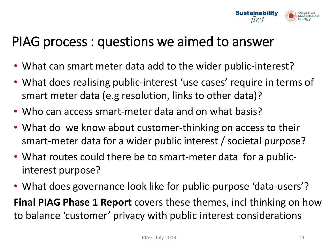

#### PIAG process : questions we aimed to answer

- What can smart meter data add to the wider public-interest?
- What does realising public-interest 'use cases' require in terms of smart meter data (e.g resolution, links to other data)?
- Who can access smart-meter data and on what basis?
- What do we know about customer-thinking on access to their smart-meter data for a wider public interest / societal purpose?
- What routes could there be to smart-meter data for a publicinterest purpose?
- What does governance look like for public-purpose 'data-users'? **Final PIAG Phase 1 Report** covers these themes, incl thinking on how to balance 'customer' privacy with public interest considerations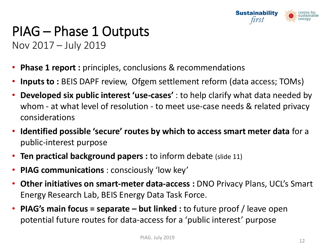

#### PIAG – Phase 1 Outputs Nov 2017 – July 2019

- **Phase 1 report :** principles, conclusions & recommendations
- **Inputs to :** BEIS DAPF review, Ofgem settlement reform (data access; TOMs)
- **Developed six public interest 'use-cases'** : to help clarify what data needed by whom - at what level of resolution - to meet use-case needs & related privacy considerations
- **Identified possible 'secure' routes by which to access smart meter data** for a public-interest purpose
- **Ten practical background papers :** to inform debate (slide 11)
- **PIAG communications** : consciously 'low key'
- **Other initiatives on smart-meter data-access :** DNO Privacy Plans, UCL's Smart Energy Research Lab, BEIS Energy Data Task Force.
- **PIAG's main focus = separate – but linked :** to future proof / leave open potential future routes for data-access for a 'public interest' purpose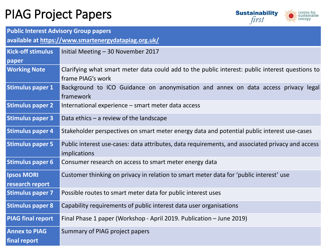#### PIAG Project Papers



**Public Interest Advisory Group papers**

**available at<https://www.smartenergydatapiag.org.uk/>**

| <b>Kick-off stimulus</b>             | Initial Meeting - 30 November 2017                                                                                   |  |
|--------------------------------------|----------------------------------------------------------------------------------------------------------------------|--|
| paper                                |                                                                                                                      |  |
| <b>Working Note</b>                  | Clarifying what smart meter data could add to the public interest: public interest questions to<br>frame PIAG's work |  |
| <b>Stimulus paper 1</b>              | Background to ICO Guidance on anonymisation and annex on data access privacy legal<br>framework                      |  |
| <b>Stimulus paper 2</b>              | International experience – smart meter data access                                                                   |  |
| <b>Stimulus paper 3</b>              | Data ethics $-$ a review of the landscape                                                                            |  |
| <b>Stimulus paper 4</b>              | Stakeholder perspectives on smart meter energy data and potential public interest use-cases                          |  |
| <b>Stimulus paper 5</b>              | Public interest use-cases: data attributes, data requirements, and associated privacy and access<br>implications     |  |
| <b>Stimulus paper 6</b>              | Consumer research on access to smart meter energy data                                                               |  |
| <b>Ipsos MORI</b><br>research report | Customer thinking on privacy in relation to smart meter data for 'public interest' use                               |  |
| <b>Stimulus paper 7</b>              | Possible routes to smart meter data for public interest uses                                                         |  |
| <b>Stimulus paper 8</b>              | Capability requirements of public interest data user organisations                                                   |  |
| <b>PIAG final report</b>             | Final Phase 1 paper (Workshop - April 2019. Publication - June 2019)                                                 |  |
| <b>Annex to PIAG</b><br>final report | Summary of PIAG project papers                                                                                       |  |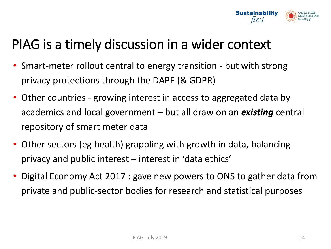

#### PIAG is a timely discussion in a wider context

- Smart-meter rollout central to energy transition but with strong privacy protections through the DAPF (& GDPR)
- Other countries growing interest in access to aggregated data by academics and local government – but all draw on an *existing* central repository of smart meter data
- Other sectors (eg health) grappling with growth in data, balancing privacy and public interest – interest in 'data ethics'
- Digital Economy Act 2017 : gave new powers to ONS to gather data from private and public-sector bodies for research and statistical purposes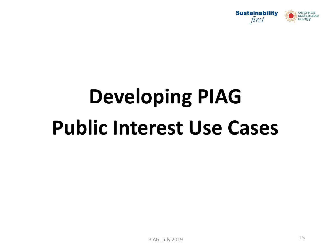

# **Developing PIAG Public Interest Use Cases**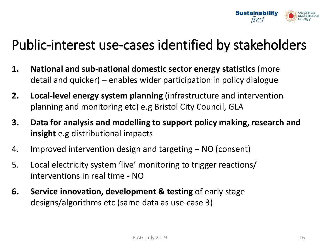

#### Public-interest use-cases identified by stakeholders

- **1. National and sub-national domestic sector energy statistics** (more detail and quicker) – enables wider participation in policy dialogue
- **2. Local-level energy system planning** (infrastructure and intervention planning and monitoring etc) e.g Bristol City Council, GLA
- **3. Data for analysis and modelling to support policy making, research and insight** e.g distributional impacts
- 4. Improved intervention design and targeting NO (consent)
- 5. Local electricity system 'live' monitoring to trigger reactions/ interventions in real time - NO
- **6.** Service innovation, development & testing of early stage designs/algorithms etc (same data as use-case 3)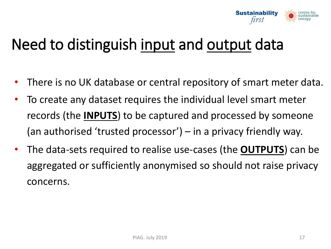

### Need to distinguish input and output data

- There is no UK database or central repository of smart meter data.
- To create any dataset requires the individual level smart meter records (the **INPUTS**) to be captured and processed by someone (an authorised 'trusted processor') – in a privacy friendly way.
- The data-sets required to realise use-cases (the **OUTPUTS**) can be aggregated or sufficiently anonymised so should not raise privacy concerns.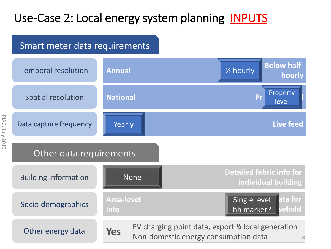#### Use-Case 2: Local energy system planning INPUTS

#### Smart meter data requirements

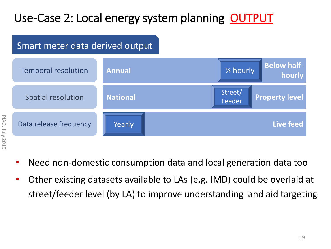#### Use-Case 2: Local energy system planning OUTPUT

#### Smart meter data derived output



- **PIAG. July 2019** PIAG. July 2019
- Need non-domestic consumption data and local generation data too
- Other existing datasets available to LAs (e.g. IMD) could be overlaid at street/feeder level (by LA) to improve understanding and aid targeting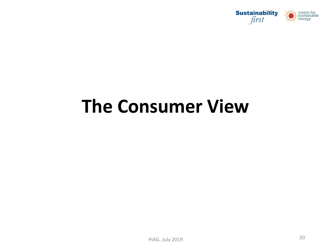

## **The Consumer View**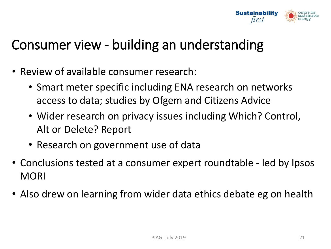

#### Consumer view - building an understanding

- Review of available consumer research:
	- Smart meter specific including ENA research on networks access to data; studies by Ofgem and Citizens Advice
	- Wider research on privacy issues including Which? Control, Alt or Delete? Report
	- Research on government use of data
- Conclusions tested at a consumer expert roundtable led by Ipsos **MORI**
- Also drew on learning from wider data ethics debate eg on health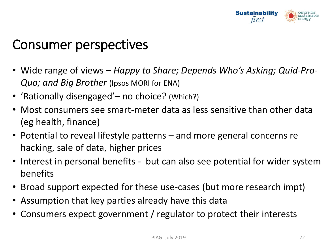

#### Consumer perspectives

- Wide range of views *Happy to Share; Depends Who's Asking; Quid-Pro-Quo; and Big Brother* (Ipsos MORI for ENA)
- 'Rationally disengaged'– no choice? (Which?)
- Most consumers see smart-meter data as less sensitive than other data (eg health, finance)
- Potential to reveal lifestyle patterns and more general concerns re hacking, sale of data, higher prices
- Interest in personal benefits but can also see potential for wider system benefits
- Broad support expected for these use-cases (but more research impt)
- Assumption that key parties already have this data
- Consumers expect government / regulator to protect their interests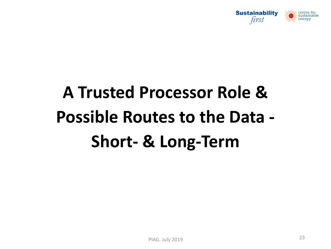

# **A Trusted Processor Role & Possible Routes to the Data - Short- & Long-Term**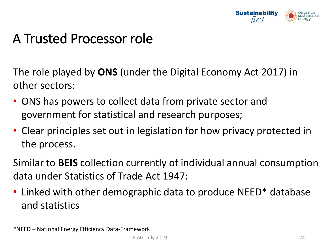

#### A Trusted Processor role

The role played by **ONS** (under the Digital Economy Act 2017) in other sectors:

- ONS has powers to collect data from private sector and government for statistical and research purposes;
- Clear principles set out in legislation for how privacy protected in the process.

Similar to **BEIS** collection currently of individual annual consumption data under Statistics of Trade Act 1947:

• Linked with other demographic data to produce NEED\* database and statistics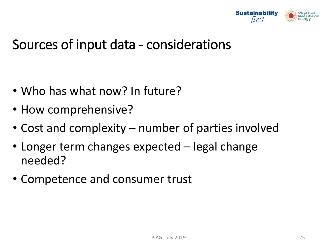

#### Sources of input data - considerations

- Who has what now? In future?
- How comprehensive?
- Cost and complexity number of parties involved
- Longer term changes expected legal change needed?
- Competence and consumer trust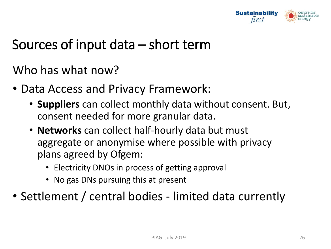

#### Sources of input data – short term

Who has what now?

- Data Access and Privacy Framework:
	- **Suppliers** can collect monthly data without consent. But, consent needed for more granular data.
	- **Networks** can collect half-hourly data but must aggregate or anonymise where possible with privacy plans agreed by Ofgem:
		- Electricity DNOs in process of getting approval
		- No gas DNs pursuing this at present
- Settlement / central bodies limited data currently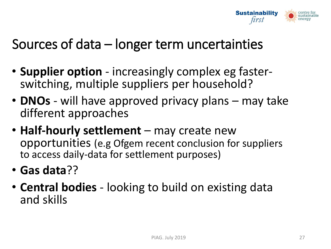

#### Sources of data – longer term uncertainties

- **Supplier option**  increasingly complex eg fasterswitching, multiple suppliers per household?
- **DNOs**  will have approved privacy plans may take different approaches
- **Half-hourly settlement**  may create new opportunities (e.g Ofgem recent conclusion for suppliers to access daily-data for settlement purposes)
- **Gas data**??
- **Central bodies**  looking to build on existing data and skills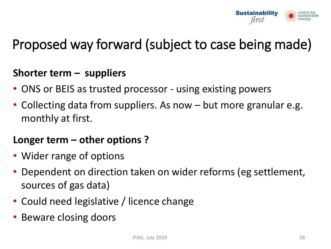

#### Proposed way forward (subject to case being made)

#### **Shorter term – suppliers**

- ONS or BEIS as trusted processor using existing powers
- Collecting data from suppliers. As now but more granular e.g. monthly at first.

#### **Longer term – other options ?**

- Wider range of options
- Dependent on direction taken on wider reforms (eg settlement, sources of gas data)
- Could need legislative / licence change
- Beware closing doors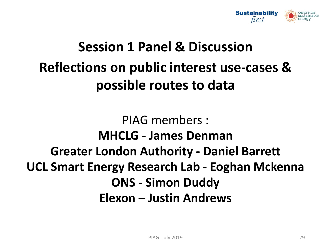

### **Session 1 Panel & Discussion Reflections on public interest use-cases & possible routes to data**

PIAG members : **MHCLG - James Denman Greater London Authority - Daniel Barrett UCL Smart Energy Research Lab - Eoghan Mckenna ONS - Simon Duddy Elexon – Justin Andrews**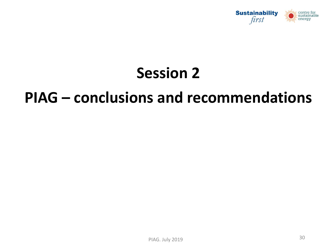

### **Session 2**

#### **PIAG – conclusions and recommendations**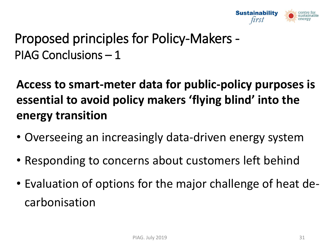

#### Proposed principles for Policy-Makers - PIAG Conclusions – 1

**Access to smart-meter data for public-policy purposes is essential to avoid policy makers 'flying blind' into the energy transition** 

- Overseeing an increasingly data-driven energy system
- Responding to concerns about customers left behind
- Evaluation of options for the major challenge of heat decarbonisation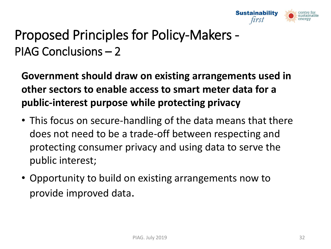

#### Proposed Principles for Policy-Makers - PIAG Conclusions – 2

**Government should draw on existing arrangements used in other sectors to enable access to smart meter data for a public-interest purpose while protecting privacy**

- This focus on secure-handling of the data means that there does not need to be a trade-off between respecting and protecting consumer privacy and using data to serve the public interest;
- Opportunity to build on existing arrangements now to provide improved data.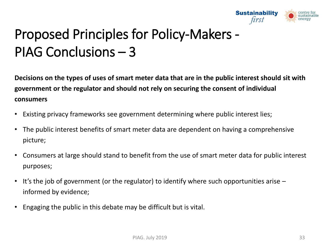

### Proposed Principles for Policy-Makers - PIAG Conclusions – 3

**Decisions on the types of uses of smart meter data that are in the public interest should sit with government or the regulator and should not rely on securing the consent of individual consumers** 

- Existing privacy frameworks see government determining where public interest lies;
- The public interest benefits of smart meter data are dependent on having a comprehensive picture;
- Consumers at large should stand to benefit from the use of smart meter data for public interest purposes;
- It's the job of government (or the regulator) to identify where such opportunities arise informed by evidence;
- Engaging the public in this debate may be difficult but is vital.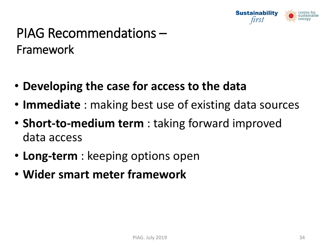

#### PIAG Recommendations – Framework

- **Developing the case for access to the data**
- **Immediate** : making best use of existing data sources
- **Short-to-medium term** : taking forward improved data access
- **Long-term** : keeping options open
- **Wider smart meter framework**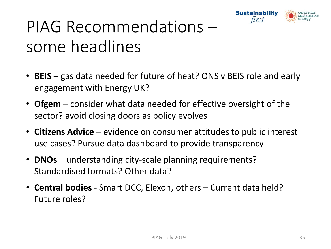

## PIAG Recommendations – some headlines

- **BEIS** gas data needed for future of heat? ONS v BEIS role and early engagement with Energy UK?
- **Ofgem** consider what data needed for effective oversight of the sector? avoid closing doors as policy evolves
- **Citizens Advice**  evidence on consumer attitudes to public interest use cases? Pursue data dashboard to provide transparency
- **DNOs** understanding city-scale planning requirements? Standardised formats? Other data?
- **Central bodies**  Smart DCC, Elexon, others Current data held? Future roles?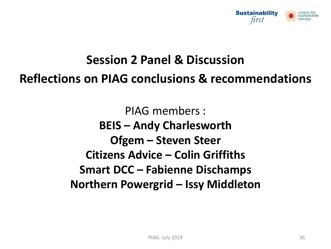

#### **Session 2 Panel & Discussion**

#### **Reflections on PIAG conclusions & recommendations**

PIAG members : **BEIS – Andy Charlesworth Ofgem – Steven Steer Citizens Advice – Colin Griffiths Smart DCC – Fabienne Dischamps Northern Powergrid – Issy Middleton**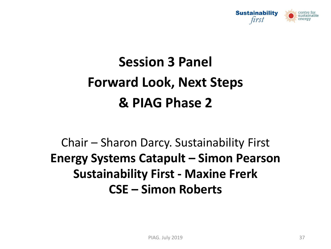

### **Session 3 Panel Forward Look, Next Steps & PIAG Phase 2**

#### Chair – Sharon Darcy. Sustainability First **Energy Systems Catapult – Simon Pearson Sustainability First - Maxine Frerk CSE – Simon Roberts**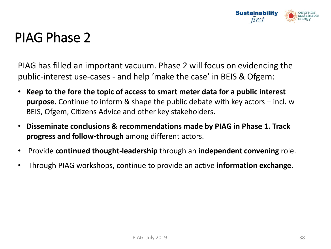

#### PIAG Phase 2

PIAG has filled an important vacuum. Phase 2 will focus on evidencing the public-interest use-cases - and help 'make the case' in BEIS & Ofgem:

- **Keep to the fore the topic of access to smart meter data for a public interest purpose.** Continue to inform & shape the public debate with key actors – incl. w BEIS, Ofgem, Citizens Advice and other key stakeholders.
- **Disseminate conclusions & recommendations made by PIAG in Phase 1. Track progress and follow-through** among different actors.
- Provide **continued thought-leadership** through an **independent convening** role.
- Through PIAG workshops, continue to provide an active **information exchange**.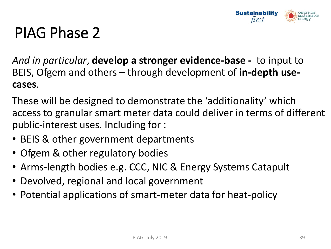

### PIAG Phase 2

*And in particular*, **develop a stronger evidence-base -** to input to BEIS, Ofgem and others – through development of **in-depth usecases**.

These will be designed to demonstrate the 'additionality' which access to granular smart meter data could deliver in terms of different public-interest uses. Including for :

- BEIS & other government departments
- Ofgem & other regulatory bodies
- Arms-length bodies e.g. CCC, NIC & Energy Systems Catapult
- Devolved, regional and local government
- Potential applications of smart-meter data for heat-policy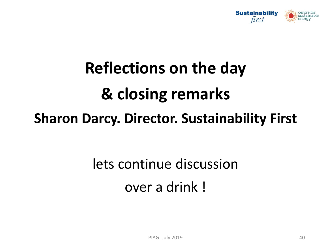

# **Reflections on the day & closing remarks Sharon Darcy. Director. Sustainability First**

## lets continue discussion over a drink !